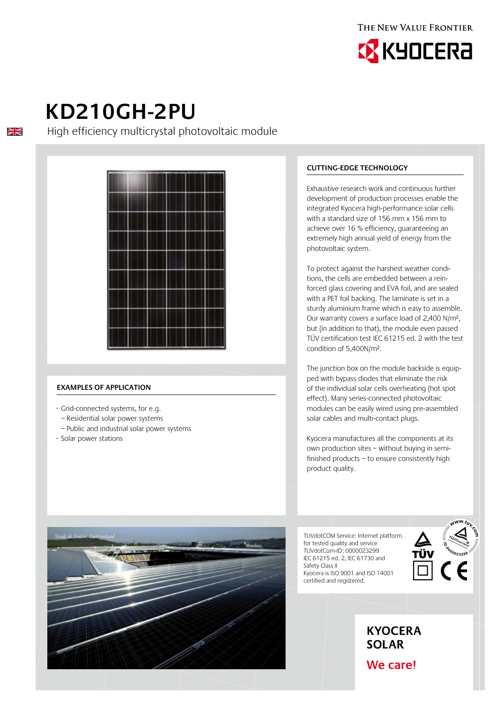



# **KD210GH-2PU**

 $\frac{\sum x}{\sum x}$ 

High efficiency multicrystal photovoltaic module



## **Examples of application**

- · Grid-connected systems, for e.g.
- Residential solar power systems
- Public and industrial solar power systems
- · Solar power stations

*Stade de Suisse, Switzerland*

# **Cutting-edge technology**

Exhaustive research work and continuous further development of production processes enable the integrated Kyocera high-performance solar cells with a standard size of 156 mm x 156 mm to achieve over 16 % efficiency, guaranteeing an extremely high annual yield of energy from the photovoltaic system.

To protect against the harshest weather conditions, the cells are embedded between a reinforced glass covering and EVA foil, and are sealed with a PET foil backing. The laminate is set in a sturdy aluminium frame which is easy to assemble. Our warranty covers a surface load of 2,400 N/m², but (in addition to that), the module even passed TÜV certification test IEC 61215 ed. 2 with the test condition of 5,400N/m².

The junction box on the module backside is equipped with bypass diodes that eliminate the risk of the individual solar cells overheating (hot spot effect). Many series-connected photovoltaic modules can be easily wired using pre-assembled solar cables and multi-contact plugs.

Kyocera manufactures all the components at its own production sites – without buying in semifinished products – to ensure consistently high product quality.

TUVdotCOM Service: Internet platform for tested quality and service TUVdotCom-ID: 0000023299 IEC 61215 ed. 2, IEC 61730 and Safety Class II Kyocera is ISO 9001 and ISO 14001 certified and registered.





We care!